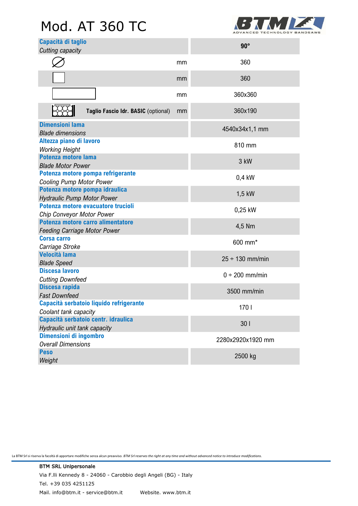# Mod. AT 360 TC



| Capacità di taglio<br>Cutting capacity                                   |    | $90^\circ$           |
|--------------------------------------------------------------------------|----|----------------------|
|                                                                          | mm | 360                  |
|                                                                          | mm | 360                  |
|                                                                          | mm | 360x360              |
| Taglio Fascio Idr. BASIC (optional)                                      | mm | 360x190              |
| <b>Dimensioni lama</b><br><b>Blade dimensions</b>                        |    | 4540x34x1,1 mm       |
| Altezza piano di lavoro<br><b>Working Height</b>                         |    | 810 mm               |
| <b>Potenza motore lama</b><br><b>Blade Motor Power</b>                   |    | 3 kW                 |
| Potenza motore pompa refrigerante<br><b>Cooling Pump Motor Power</b>     |    | $0,4$ kW             |
| Potenza motore pompa idraulica<br><b>Hydraulic Pump Motor Power</b>      |    | 1,5 kW               |
| Potenza motore evacuatore trucioli<br><b>Chip Conveyor Motor Power</b>   |    | 0,25 kW              |
| Potenza motore carro alimentatore<br><b>Feeding Carriage Motor Power</b> |    | 4,5 Nm               |
| <b>Corsa carro</b><br>Carriage Stroke                                    |    | 600 mm*              |
| <b>Velocità lama</b><br><b>Blade Speed</b>                               |    | $25 \div 130$ mm/min |
| <b>Discesa lavoro</b><br><b>Cutting Downfeed</b>                         |    | $0 \div 200$ mm/min  |
| Discesa rapida<br><b>Fast Downfeed</b>                                   |    | 3500 mm/min          |
| Capacità serbatoio liquido refrigerante<br>Coolant tank capacity         |    | 170 l                |
| Capacità serbatoio centr. idraulica<br>Hydraulic unit tank capacity      |    | 301                  |
| Dimensioni di ingombro<br><b>Overall Dimensions</b>                      |    | 2280x2920x1920 mm    |
| <b>Peso</b><br>Weight                                                    |    | 2500 kg              |

La BTM Srl si riserva la facoltà di apportare modifiche senza alcun preavviso. *BTM Srl reserves the right at any time and without advanced notice to introduce modifications.*